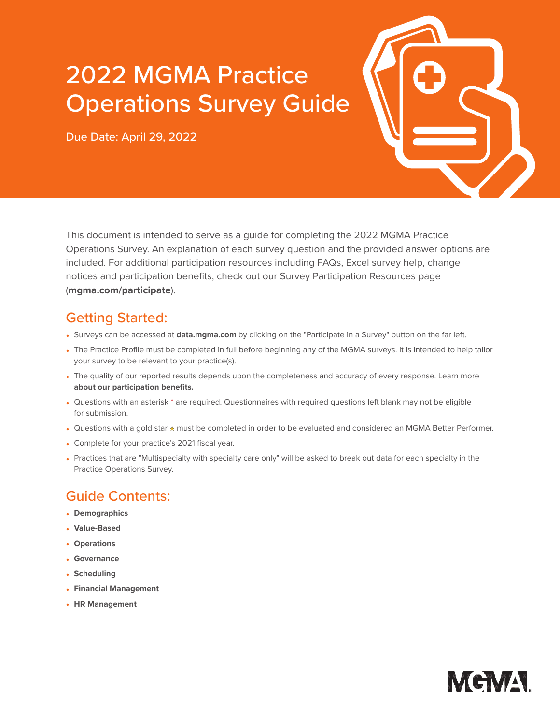# 2022 MGMA Practice Operations Survey Guide

Due Date: April 29, 2022



This document is intended to serve as a guide for completing the 2022 MGMA Practice Operations Survey. An explanation of each survey question and the provided answer options are included. For additional participation resources including FAQs, Excel survey help, change notices and participation benefits, check out our Survey Participation Resources page (**[mgma.com/participate](http://mgma.com/participate)**).

# Getting Started:

- Surveys can be accessed at **[data.mgma.com](https://data.mgma.com)** by clicking on the "Participate in a Survey" button on the far left.
- The Practice Profile must be completed in full before beginning any of the MGMA surveys. It is intended to help tailor your survey to be relevant to your practice(s).
- The quality of our reported results depends upon the completeness and accuracy of every response. [Learn more](https://www.mgma.com/data/landing-pages/mgma-datadive-and-survey-participation-benefits) **[about our participation benefits.](https://www.mgma.com/data/landing-pages/mgma-datadive-and-survey-participation-benefits)**
- Questions with an asterisk \* are required. Questionnaires with required questions left blank may not be eligible for submission.
- Questions with a gold star \* must be completed in order to be evaluated and considered an MGMA Better Performer.
- Complete for your practice's 2021 fiscal year.
- Practices that are "Multispecialty with specialty care only" will be asked to break out data for each specialty in the Practice Operations Survey.

## Guide Contents:

- **[Demographics](#page-1-0)**
- **[Value-Based](#page-2-0)**
- **[Operations](#page-7-0)**
- **[Governance](#page-8-0)**
- **[Scheduling](#page-10-0)**
- **[Financial Management](#page-12-0)**
- **[HR Management](#page-14-0)**

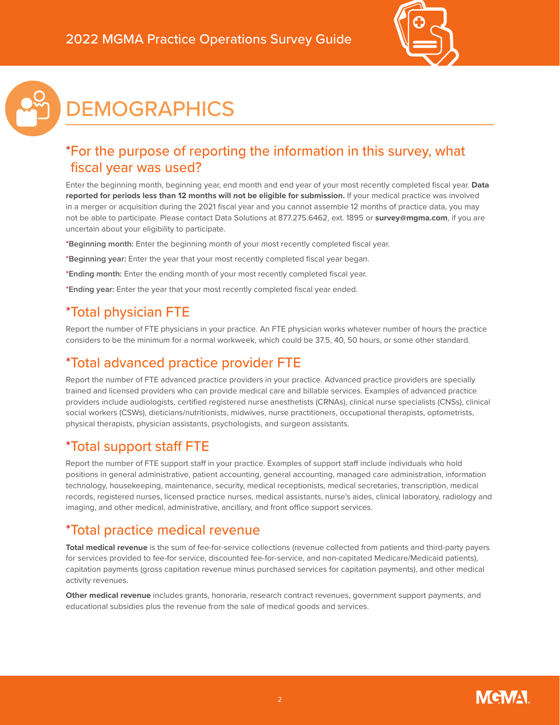



# <span id="page-1-0"></span>**DEMOGRAPHICS**

## \*For the purpose of reporting the information in this survey, what fiscal year was used?

Enter the beginning month, beginning year, end month and end year of your most recently completed fiscal year. **Data reported for periods less than 12 months will not be eligible for submission.** If your medical practice was involved in a merger or acquisition during the 2021 fiscal year and you cannot assemble 12 months of practice data, you may not be able to participate. Please contact Data Solutions at 877.275.6462, ext. 1895 or **[survey@mgma.com](mailto:survey%40mgma.com?subject=)**, if you are uncertain about your eligibility to participate.

**\*Beginning month:** Enter the beginning month of your most recently completed fiscal year.

- **\*Beginning year:** Enter the year that your most recently completed fiscal year began.
- **\*Ending month:** Enter the ending month of your most recently completed fiscal year.
- **\*Ending year:** Enter the year that your most recently completed fiscal year ended.

## \*Total physician FTE

Report the number of FTE physicians in your practice. An FTE physician works whatever number of hours the practice considers to be the minimum for a normal workweek, which could be 37.5, 40, 50 hours, or some other standard.

## \*Total advanced practice provider FTE

Report the number of FTE advanced practice providers in your practice. Advanced practice providers are specially trained and licensed providers who can provide medical care and billable services. Examples of advanced practice providers include audiologists, certified registered nurse anesthetists (CRNAs), clinical nurse specialists (CNSs), clinical social workers (CSWs), dieticians/nutritionists, midwives, nurse practitioners, occupational therapists, optometrists, physical therapists, physician assistants, psychologists, and surgeon assistants.

# \*Total support staff FTE

Report the number of FTE support staff in your practice. Examples of support staff include individuals who hold positions in general administrative, patient accounting, general accounting, managed care administration, information technology, housekeeping, maintenance, security, medical receptionists, medical secretaries, transcription, medical records, registered nurses, licensed practice nurses, medical assistants, nurse's aides, clinical laboratory, radiology and imaging, and other medical, administrative, ancillary, and front office support services.

## \*Total practice medical revenue

**Total medical revenue** is the sum of fee-for-service collections (revenue collected from patients and third-party payers for services provided to fee-for service, discounted fee-for-service, and non-capitated Medicare/Medicaid patients), capitation payments (gross capitation revenue minus purchased services for capitation payments), and other medical activity revenues.

**Other medical revenue** includes grants, honoraria, research contract revenues, government support payments, and educational subsidies plus the revenue from the sale of medical goods and services.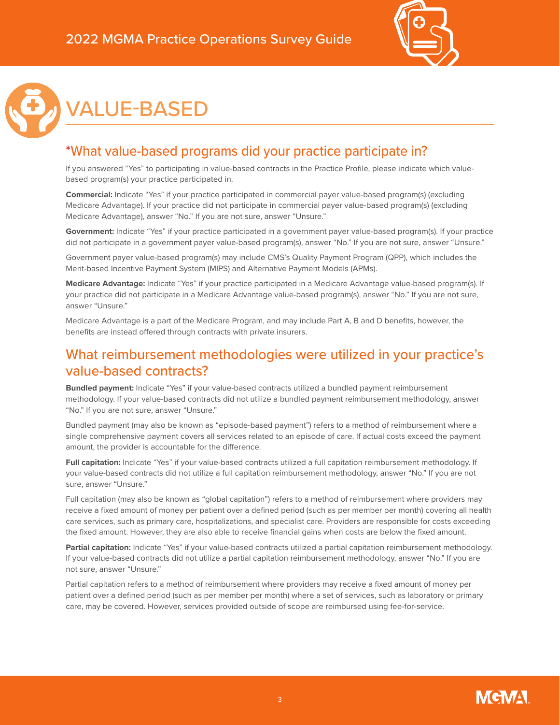



# <span id="page-2-0"></span>VALUE-BASED

### \*What value-based programs did your practice participate in?

If you answered "Yes" to participating in value-based contracts in the Practice Profile, please indicate which valuebased program(s) your practice participated in.

**Commercial:** Indicate "Yes" if your practice participated in commercial payer value-based program(s) (excluding Medicare Advantage). If your practice did not participate in commercial payer value-based program(s) (excluding Medicare Advantage), answer "No." If you are not sure, answer "Unsure."

**Government:** Indicate "Yes" if your practice participated in a government payer value-based program(s). If your practice did not participate in a government payer value-based program(s), answer "No." If you are not sure, answer "Unsure."

Government payer value-based program(s) may include CMS's Quality Payment Program (QPP), which includes the Merit-based Incentive Payment System (MIPS) and Alternative Payment Models (APMs).

**Medicare Advantage:** Indicate "Yes" if your practice participated in a Medicare Advantage value-based program(s). If your practice did not participate in a Medicare Advantage value-based program(s), answer "No." If you are not sure, answer "Unsure."

Medicare Advantage is a part of the Medicare Program, and may include Part A, B and D benefits, however, the benefits are instead offered through contracts with private insurers.

#### What reimbursement methodologies were utilized in your practice's value-based contracts?

**Bundled payment:** Indicate "Yes" if your value-based contracts utilized a bundled payment reimbursement methodology. If your value-based contracts did not utilize a bundled payment reimbursement methodology, answer "No." If you are not sure, answer "Unsure."

Bundled payment (may also be known as "episode-based payment") refers to a method of reimbursement where a single comprehensive payment covers all services related to an episode of care. If actual costs exceed the payment amount, the provider is accountable for the difference.

**Full capitation:** Indicate "Yes" if your value-based contracts utilized a full capitation reimbursement methodology. If your value-based contracts did not utilize a full capitation reimbursement methodology, answer "No." If you are not sure, answer "Unsure."

Full capitation (may also be known as "global capitation") refers to a method of reimbursement where providers may receive a fixed amount of money per patient over a defined period (such as per member per month) covering all health care services, such as primary care, hospitalizations, and specialist care. Providers are responsible for costs exceeding the fixed amount. However, they are also able to receive financial gains when costs are below the fixed amount.

**Partial capitation:** Indicate "Yes" if your value-based contracts utilized a partial capitation reimbursement methodology. If your value-based contracts did not utilize a partial capitation reimbursement methodology, answer "No." If you are not sure, answer "Unsure."

Partial capitation refers to a method of reimbursement where providers may receive a fixed amount of money per patient over a defined period (such as per member per month) where a set of services, such as laboratory or primary care, may be covered. However, services provided outside of scope are reimbursed using fee-for-service.

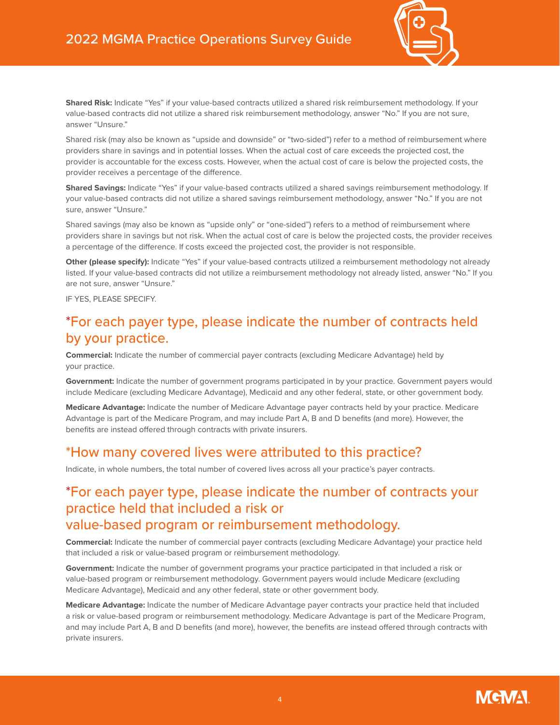

**Shared Risk:** Indicate "Yes" if your value-based contracts utilized a shared risk reimbursement methodology. If your value-based contracts did not utilize a shared risk reimbursement methodology, answer "No." If you are not sure, answer "Unsure."

Shared risk (may also be known as "upside and downside" or "two-sided") refer to a method of reimbursement where providers share in savings and in potential losses. When the actual cost of care exceeds the projected cost, the provider is accountable for the excess costs. However, when the actual cost of care is below the projected costs, the provider receives a percentage of the difference.

**Shared Savings:** Indicate "Yes" if your value-based contracts utilized a shared savings reimbursement methodology. If your value-based contracts did not utilize a shared savings reimbursement methodology, answer "No." If you are not sure, answer "Unsure."

Shared savings (may also be known as "upside only" or "one-sided") refers to a method of reimbursement where providers share in savings but not risk. When the actual cost of care is below the projected costs, the provider receives a percentage of the difference. If costs exceed the projected cost, the provider is not responsible.

**Other (please specify):** Indicate "Yes" if your value-based contracts utilized a reimbursement methodology not already listed. If your value-based contracts did not utilize a reimbursement methodology not already listed, answer "No." If you are not sure, answer "Unsure."

IF YES, PLEASE SPECIFY.

### \*For each payer type, please indicate the number of contracts held by your practice.

**Commercial:** Indicate the number of commercial payer contracts (excluding Medicare Advantage) held by your practice.

**Government:** Indicate the number of government programs participated in by your practice. Government payers would include Medicare (excluding Medicare Advantage), Medicaid and any other federal, state, or other government body.

**Medicare Advantage:** Indicate the number of Medicare Advantage payer contracts held by your practice. Medicare Advantage is part of the Medicare Program, and may include Part A, B and D benefits (and more). However, the benefits are instead offered through contracts with private insurers.

#### \*How many covered lives were attributed to this practice?

Indicate, in whole numbers, the total number of covered lives across all your practice's payer contracts.

#### \*For each payer type, please indicate the number of contracts your practice held that included a risk or value-based program or reimbursement methodology.

**Commercial:** Indicate the number of commercial payer contracts (excluding Medicare Advantage) your practice held that included a risk or value-based program or reimbursement methodology.

**Government:** Indicate the number of government programs your practice participated in that included a risk or value-based program or reimbursement methodology. Government payers would include Medicare (excluding Medicare Advantage), Medicaid and any other federal, state or other government body.

**Medicare Advantage:** Indicate the number of Medicare Advantage payer contracts your practice held that included a risk or value-based program or reimbursement methodology. Medicare Advantage is part of the Medicare Program, and may include Part A, B and D benefits (and more), however, the benefits are instead offered through contracts with private insurers.

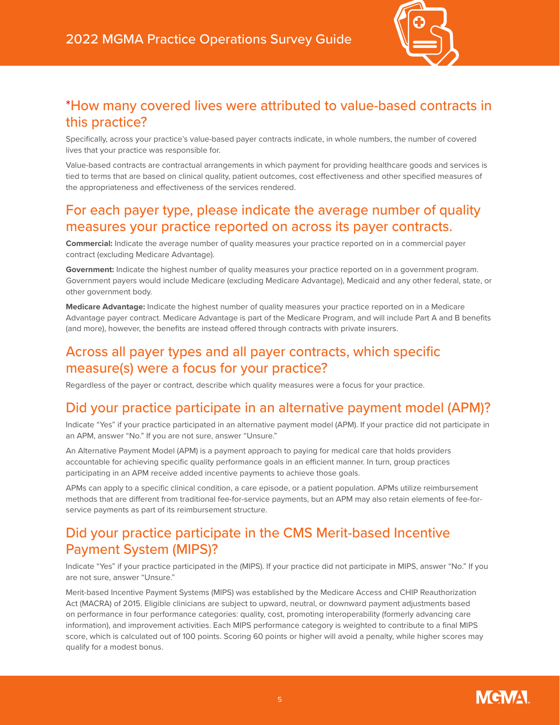

#### \*How many covered lives were attributed to value-based contracts in this practice?

Specifically, across your practice's value-based payer contracts indicate, in whole numbers, the number of covered lives that your practice was responsible for.

Value-based contracts are contractual arrangements in which payment for providing healthcare goods and services is tied to terms that are based on clinical quality, patient outcomes, cost effectiveness and other specified measures of the appropriateness and effectiveness of the services rendered.

### For each payer type, please indicate the average number of quality measures your practice reported on across its payer contracts.

**Commercial:** Indicate the average number of quality measures your practice reported on in a commercial payer contract (excluding Medicare Advantage).

**Government:** Indicate the highest number of quality measures your practice reported on in a government program. Government payers would include Medicare (excluding Medicare Advantage), Medicaid and any other federal, state, or other government body.

**Medicare Advantage:** Indicate the highest number of quality measures your practice reported on in a Medicare Advantage payer contract. Medicare Advantage is part of the Medicare Program, and will include Part A and B benefits (and more), however, the benefits are instead offered through contracts with private insurers.

#### Across all payer types and all payer contracts, which specific measure(s) were a focus for your practice?

Regardless of the payer or contract, describe which quality measures were a focus for your practice.

#### Did your practice participate in an alternative payment model (APM)?

Indicate "Yes" if your practice participated in an alternative payment model (APM). If your practice did not participate in an APM, answer "No." If you are not sure, answer "Unsure."

An Alternative Payment Model (APM) is a payment approach to paying for medical care that holds providers accountable for achieving specific quality performance goals in an efficient manner. In turn, group practices participating in an APM receive added incentive payments to achieve those goals.

APMs can apply to a specific clinical condition, a care episode, or a patient population. APMs utilize reimbursement methods that are different from traditional fee-for-service payments, but an APM may also retain elements of fee-forservice payments as part of its reimbursement structure.

## Did your practice participate in the CMS Merit-based Incentive Payment System (MIPS)?

Indicate "Yes" if your practice participated in the (MIPS). If your practice did not participate in MIPS, answer "No." If you are not sure, answer "Unsure."

Merit-based Incentive Payment Systems (MIPS) was established by the Medicare Access and CHIP Reauthorization Act (MACRA) of 2015. Eligible clinicians are subject to upward, neutral, or downward payment adjustments based on performance in four performance categories: quality, cost, promoting interoperability (formerly advancing care information), and improvement activities. Each MIPS performance category is weighted to contribute to a final MIPS score, which is calculated out of 100 points. Scoring 60 points or higher will avoid a penalty, while higher scores may qualify for a modest bonus.

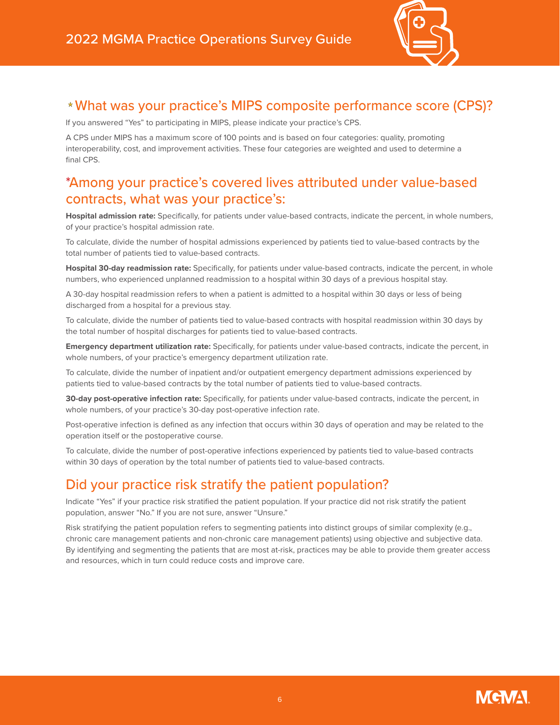

#### What was your practice's MIPS composite performance score (CPS)?

If you answered "Yes" to participating in MIPS, please indicate your practice's CPS.

A CPS under MIPS has a maximum score of 100 points and is based on four categories: quality, promoting interoperability, cost, and improvement activities. These four categories are weighted and used to determine a final CPS.

#### \*Among your practice's covered lives attributed under value-based contracts, what was your practice's:

**Hospital admission rate:** Specifically, for patients under value-based contracts, indicate the percent, in whole numbers, of your practice's hospital admission rate.

To calculate, divide the number of hospital admissions experienced by patients tied to value-based contracts by the total number of patients tied to value-based contracts.

**Hospital 30-day readmission rate:** Specifically, for patients under value-based contracts, indicate the percent, in whole numbers, who experienced unplanned readmission to a hospital within 30 days of a previous hospital stay.

A 30-day hospital readmission refers to when a patient is admitted to a hospital within 30 days or less of being discharged from a hospital for a previous stay.

To calculate, divide the number of patients tied to value-based contracts with hospital readmission within 30 days by the total number of hospital discharges for patients tied to value-based contracts.

**Emergency department utilization rate:** Specifically, for patients under value-based contracts, indicate the percent, in whole numbers, of your practice's emergency department utilization rate.

To calculate, divide the number of inpatient and/or outpatient emergency department admissions experienced by patients tied to value-based contracts by the total number of patients tied to value-based contracts.

**30-day post-operative infection rate:** Specifically, for patients under value-based contracts, indicate the percent, in whole numbers, of your practice's 30-day post-operative infection rate.

Post-operative infection is defined as any infection that occurs within 30 days of operation and may be related to the operation itself or the postoperative course.

To calculate, divide the number of post-operative infections experienced by patients tied to value-based contracts within 30 days of operation by the total number of patients tied to value-based contracts.

## Did your practice risk stratify the patient population?

Indicate "Yes" if your practice risk stratified the patient population. If your practice did not risk stratify the patient population, answer "No." If you are not sure, answer "Unsure."

Risk stratifying the patient population refers to segmenting patients into distinct groups of similar complexity (e.g., chronic care management patients and non-chronic care management patients) using objective and subjective data. By identifying and segmenting the patients that are most at-risk, practices may be able to provide them greater access and resources, which in turn could reduce costs and improve care.

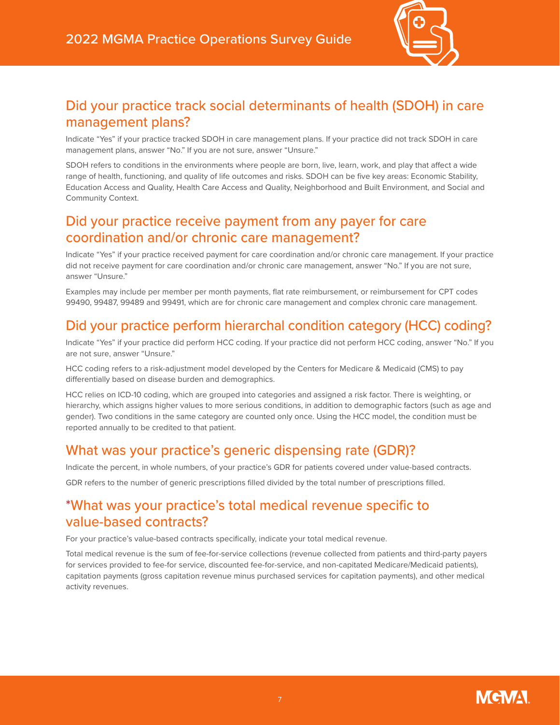

#### Did your practice track social determinants of health (SDOH) in care management plans?

Indicate "Yes" if your practice tracked SDOH in care management plans. If your practice did not track SDOH in care management plans, answer "No." If you are not sure, answer "Unsure."

SDOH refers to conditions in the environments where people are born, live, learn, work, and play that affect a wide range of health, functioning, and quality of life outcomes and risks. SDOH can be five key areas: Economic Stability, Education Access and Quality, Health Care Access and Quality, Neighborhood and Built Environment, and Social and Community Context.

#### Did your practice receive payment from any payer for care coordination and/or chronic care management?

Indicate "Yes" if your practice received payment for care coordination and/or chronic care management. If your practice did not receive payment for care coordination and/or chronic care management, answer "No." If you are not sure, answer "Unsure."

Examples may include per member per month payments, flat rate reimbursement, or reimbursement for CPT codes 99490, 99487, 99489 and 99491, which are for chronic care management and complex chronic care management.

## Did your practice perform hierarchal condition category (HCC) coding?

Indicate "Yes" if your practice did perform HCC coding. If your practice did not perform HCC coding, answer "No." If you are not sure, answer "Unsure."

HCC coding refers to a risk-adjustment model developed by the Centers for Medicare & Medicaid (CMS) to pay differentially based on disease burden and demographics.

HCC relies on ICD-10 coding, which are grouped into categories and assigned a risk factor. There is weighting, or hierarchy, which assigns higher values to more serious conditions, in addition to demographic factors (such as age and gender). Two conditions in the same category are counted only once. Using the HCC model, the condition must be reported annually to be credited to that patient.

#### What was your practice's generic dispensing rate (GDR)?

Indicate the percent, in whole numbers, of your practice's GDR for patients covered under value-based contracts.

GDR refers to the number of generic prescriptions filled divided by the total number of prescriptions filled.

#### \*What was your practice's total medical revenue specific to value-based contracts?

For your practice's value-based contracts specifically, indicate your total medical revenue.

Total medical revenue is the sum of fee-for-service collections (revenue collected from patients and third-party payers for services provided to fee-for service, discounted fee-for-service, and non-capitated Medicare/Medicaid patients), capitation payments (gross capitation revenue minus purchased services for capitation payments), and other medical activity revenues.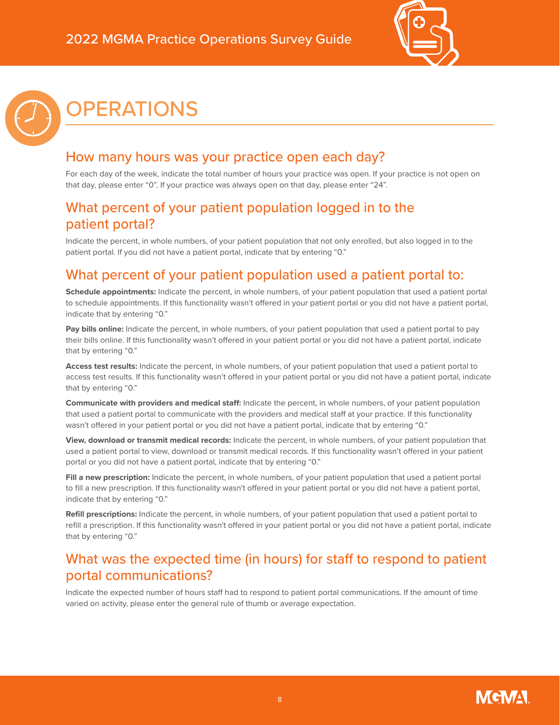

# <span id="page-7-0"></span>OPERATIONS

### How many hours was your practice open each day?

For each day of the week, indicate the total number of hours your practice was open. If your practice is not open on that day, please enter "0". If your practice was always open on that day, please enter "24".

#### What percent of your patient population logged in to the patient portal?

Indicate the percent, in whole numbers, of your patient population that not only enrolled, but also logged in to the patient portal. If you did not have a patient portal, indicate that by entering "0."

## What percent of your patient population used a patient portal to:

**Schedule appointments:** Indicate the percent, in whole numbers, of your patient population that used a patient portal to schedule appointments. If this functionality wasn't offered in your patient portal or you did not have a patient portal, indicate that by entering "0."

**Pay bills online:** Indicate the percent, in whole numbers, of your patient population that used a patient portal to pay their bills online. If this functionality wasn't offered in your patient portal or you did not have a patient portal, indicate that by entering "0."

**Access test results:** Indicate the percent, in whole numbers, of your patient population that used a patient portal to access test results. If this functionality wasn't offered in your patient portal or you did not have a patient portal, indicate that by entering "0."

**Communicate with providers and medical staff:** Indicate the percent, in whole numbers, of your patient population that used a patient portal to communicate with the providers and medical staff at your practice. If this functionality wasn't offered in your patient portal or you did not have a patient portal, indicate that by entering "0."

**View, download or transmit medical records:** Indicate the percent, in whole numbers, of your patient population that used a patient portal to view, download or transmit medical records. If this functionality wasn't offered in your patient portal or you did not have a patient portal, indicate that by entering "0."

**Fill a new prescription:** Indicate the percent, in whole numbers, of your patient population that used a patient portal to fill a new prescription. If this functionality wasn't offered in your patient portal or you did not have a patient portal, indicate that by entering "0."

**Refill prescriptions:** Indicate the percent, in whole numbers, of your patient population that used a patient portal to refill a prescription. If this functionality wasn't offered in your patient portal or you did not have a patient portal, indicate that by entering "0."

### What was the expected time (in hours) for staff to respond to patient portal communications?

Indicate the expected number of hours staff had to respond to patient portal communications. If the amount of time varied on activity, please enter the general rule of thumb or average expectation.

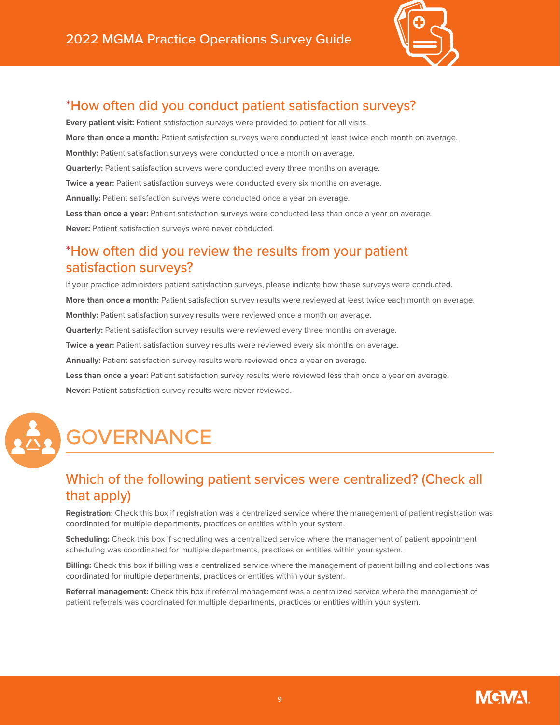

## \*How often did you conduct patient satisfaction surveys?

**Every patient visit:** Patient satisfaction surveys were provided to patient for all visits. **More than once a month:** Patient satisfaction surveys were conducted at least twice each month on average. **Monthly:** Patient satisfaction surveys were conducted once a month on average. **Quarterly:** Patient satisfaction surveys were conducted every three months on average. **Twice a year:** Patient satisfaction surveys were conducted every six months on average. Annually: Patient satisfaction surveys were conducted once a year on average. **Less than once a year:** Patient satisfaction surveys were conducted less than once a year on average. **Never:** Patient satisfaction surveys were never conducted.

### \*How often did you review the results from your patient satisfaction surveys?

If your practice administers patient satisfaction surveys, please indicate how these surveys were conducted. **More than once a month:** Patient satisfaction survey results were reviewed at least twice each month on average. **Monthly:** Patient satisfaction survey results were reviewed once a month on average. **Quarterly:** Patient satisfaction survey results were reviewed every three months on average. **Twice a year:** Patient satisfaction survey results were reviewed every six months on average. **Annually:** Patient satisfaction survey results were reviewed once a year on average. **Less than once a year:** Patient satisfaction survey results were reviewed less than once a year on average. **Never:** Patient satisfaction survey results were never reviewed.



# <span id="page-8-0"></span>**GOVERNANCE**

## Which of the following patient services were centralized? (Check all that apply)

**Registration:** Check this box if registration was a centralized service where the management of patient registration was coordinated for multiple departments, practices or entities within your system.

**Scheduling:** Check this box if scheduling was a centralized service where the management of patient appointment scheduling was coordinated for multiple departments, practices or entities within your system.

**Billing:** Check this box if billing was a centralized service where the management of patient billing and collections was coordinated for multiple departments, practices or entities within your system.

**Referral management:** Check this box if referral management was a centralized service where the management of patient referrals was coordinated for multiple departments, practices or entities within your system.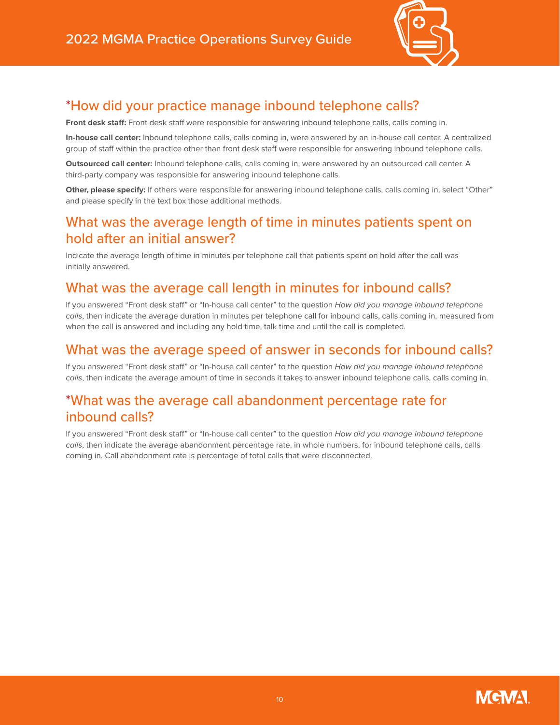

## \*How did your practice manage inbound telephone calls?

**Front desk staff:** Front desk staff were responsible for answering inbound telephone calls, calls coming in.

**In-house call center:** Inbound telephone calls, calls coming in, were answered by an in-house call center. A centralized group of staff within the practice other than front desk staff were responsible for answering inbound telephone calls.

**Outsourced call center:** Inbound telephone calls, calls coming in, were answered by an outsourced call center. A third-party company was responsible for answering inbound telephone calls.

**Other, please specify:** If others were responsible for answering inbound telephone calls, calls coming in, select "Other" and please specify in the text box those additional methods.

#### What was the average length of time in minutes patients spent on hold after an initial answer?

Indicate the average length of time in minutes per telephone call that patients spent on hold after the call was initially answered.

### What was the average call length in minutes for inbound calls?

If you answered "Front desk staff" or "In-house call center" to the question *How did you manage inbound telephone calls*, then indicate the average duration in minutes per telephone call for inbound calls, calls coming in, measured from when the call is answered and including any hold time, talk time and until the call is completed.

#### What was the average speed of answer in seconds for inbound calls?

If you answered "Front desk staff" or "In-house call center" to the question *How did you manage inbound telephone calls*, then indicate the average amount of time in seconds it takes to answer inbound telephone calls, calls coming in.

#### \*What was the average call abandonment percentage rate for inbound calls?

If you answered "Front desk staff" or "In-house call center" to the question *How did you manage inbound telephone calls*, then indicate the average abandonment percentage rate, in whole numbers, for inbound telephone calls, calls coming in. Call abandonment rate is percentage of total calls that were disconnected.

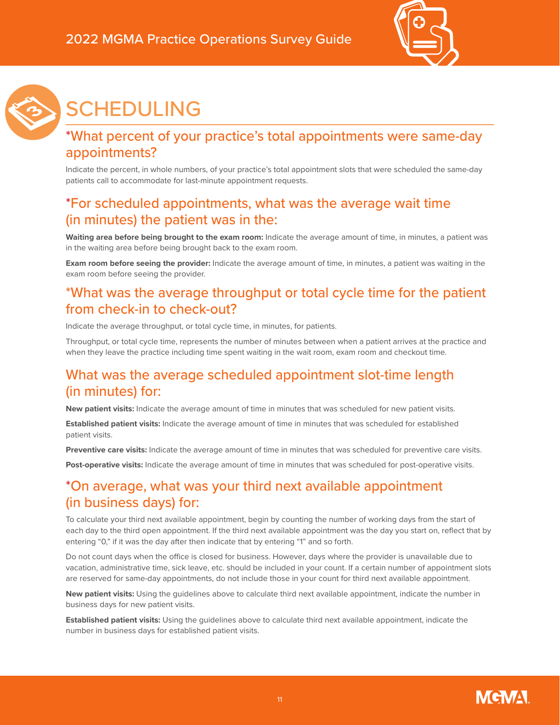



# <span id="page-10-0"></span>SCHEDULING

## \*What percent of your practice's total appointments were same-day appointments?

Indicate the percent, in whole numbers, of your practice's total appointment slots that were scheduled the same-day patients call to accommodate for last-minute appointment requests.

#### \*For scheduled appointments, what was the average wait time (in minutes) the patient was in the:

**Waiting area before being brought to the exam room:** Indicate the average amount of time, in minutes, a patient was in the waiting area before being brought back to the exam room.

**Exam room before seeing the provider:** Indicate the average amount of time, in minutes, a patient was waiting in the exam room before seeing the provider.

### \*What was the average throughput or total cycle time for the patient from check-in to check-out?

Indicate the average throughput, or total cycle time, in minutes, for patients.

Throughput, or total cycle time, represents the number of minutes between when a patient arrives at the practice and when they leave the practice including time spent waiting in the wait room, exam room and checkout time.

### What was the average scheduled appointment slot-time length (in minutes) for:

**New patient visits:** Indicate the average amount of time in minutes that was scheduled for new patient visits.

**Established patient visits:** Indicate the average amount of time in minutes that was scheduled for established patient visits.

**Preventive care visits:** Indicate the average amount of time in minutes that was scheduled for preventive care visits.

**Post-operative visits:** Indicate the average amount of time in minutes that was scheduled for post-operative visits.

### \*On average, what was your third next available appointment (in business days) for:

To calculate your third next available appointment, begin by counting the number of working days from the start of each day to the third open appointment. If the third next available appointment was the day you start on, reflect that by entering "0," if it was the day after then indicate that by entering "1" and so forth.

Do not count days when the office is closed for business. However, days where the provider is unavailable due to vacation, administrative time, sick leave, etc. should be included in your count. If a certain number of appointment slots are reserved for same-day appointments, do not include those in your count for third next available appointment.

**New patient visits:** Using the guidelines above to calculate third next available appointment, indicate the number in business days for new patient visits.

**Established patient visits:** Using the guidelines above to calculate third next available appointment, indicate the number in business days for established patient visits.

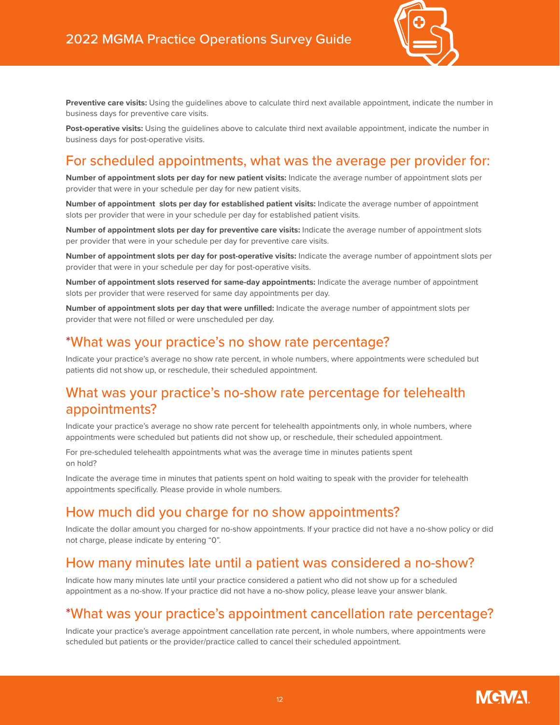

**Preventive care visits:** Using the guidelines above to calculate third next available appointment, indicate the number in business days for preventive care visits.

**Post-operative visits:** Using the guidelines above to calculate third next available appointment, indicate the number in business days for post-operative visits.

### For scheduled appointments, what was the average per provider for:

**Number of appointment slots per day for new patient visits:** Indicate the average number of appointment slots per provider that were in your schedule per day for new patient visits.

**Number of appointment slots per day for established patient visits:** Indicate the average number of appointment slots per provider that were in your schedule per day for established patient visits.

**Number of appointment slots per day for preventive care visits:** Indicate the average number of appointment slots per provider that were in your schedule per day for preventive care visits.

**Number of appointment slots per day for post-operative visits:** Indicate the average number of appointment slots per provider that were in your schedule per day for post-operative visits.

**Number of appointment slots reserved for same-day appointments:** Indicate the average number of appointment slots per provider that were reserved for same day appointments per day.

**Number of appointment slots per day that were unfilled:** Indicate the average number of appointment slots per provider that were not filled or were unscheduled per day.

#### \*What was your practice's no show rate percentage?

Indicate your practice's average no show rate percent, in whole numbers, where appointments were scheduled but patients did not show up, or reschedule, their scheduled appointment.

#### What was your practice's no-show rate percentage for telehealth appointments?

Indicate your practice's average no show rate percent for telehealth appointments only, in whole numbers, where appointments were scheduled but patients did not show up, or reschedule, their scheduled appointment.

For pre-scheduled telehealth appointments what was the average time in minutes patients spent on hold?

Indicate the average time in minutes that patients spent on hold waiting to speak with the provider for telehealth appointments specifically. Please provide in whole numbers.

#### How much did you charge for no show appointments?

Indicate the dollar amount you charged for no-show appointments. If your practice did not have a no-show policy or did not charge, please indicate by entering "0".

#### How many minutes late until a patient was considered a no-show?

Indicate how many minutes late until your practice considered a patient who did not show up for a scheduled appointment as a no-show. If your practice did not have a no-show policy, please leave your answer blank.

#### \*What was your practice's appointment cancellation rate percentage?

Indicate your practice's average appointment cancellation rate percent, in whole numbers, where appointments were scheduled but patients or the provider/practice called to cancel their scheduled appointment.

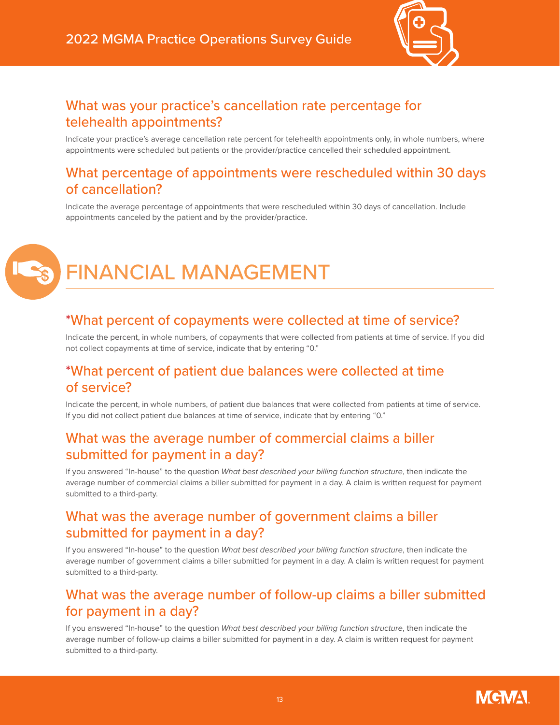

### What was your practice's cancellation rate percentage for telehealth appointments?

Indicate your practice's average cancellation rate percent for telehealth appointments only, in whole numbers, where appointments were scheduled but patients or the provider/practice cancelled their scheduled appointment.

#### What percentage of appointments were rescheduled within 30 days of cancellation?

Indicate the average percentage of appointments that were rescheduled within 30 days of cancellation. Include appointments canceled by the patient and by the provider/practice.

# <span id="page-12-0"></span>FINANCIAL MANAGEMENT

#### \*What percent of copayments were collected at time of service?

Indicate the percent, in whole numbers, of copayments that were collected from patients at time of service. If you did not collect copayments at time of service, indicate that by entering "0."

#### \*What percent of patient due balances were collected at time of service?

Indicate the percent, in whole numbers, of patient due balances that were collected from patients at time of service. If you did not collect patient due balances at time of service, indicate that by entering "0."

#### What was the average number of commercial claims a biller submitted for payment in a day?

If you answered "In-house" to the question *What best described your billing function structure*, then indicate the average number of commercial claims a biller submitted for payment in a day. A claim is written request for payment submitted to a third-party.

### What was the average number of government claims a biller submitted for payment in a day?

If you answered "In-house" to the question *What best described your billing function structure*, then indicate the average number of government claims a biller submitted for payment in a day. A claim is written request for payment submitted to a third-party.

#### What was the average number of follow-up claims a biller submitted for payment in a day?

If you answered "In-house" to the question *What best described your billing function structure*, then indicate the average number of follow-up claims a biller submitted for payment in a day. A claim is written request for payment submitted to a third-party.

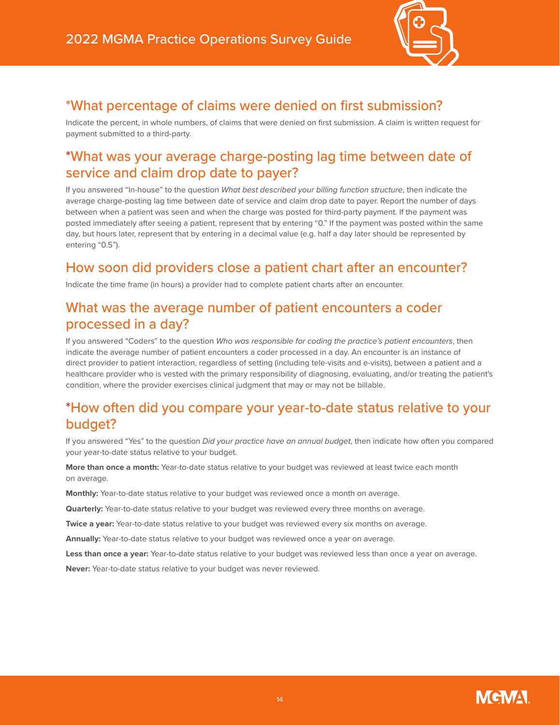

### \*What percentage of claims were denied on first submission?

Indicate the percent, in whole numbers, of claims that were denied on first submission. A claim is written request for payment submitted to a third-party.

### \*What was your average charge-posting lag time between date of service and claim drop date to payer?

If you answered "In-house" to the question *What best described your billing function structure*, then indicate the average charge-posting lag time between date of service and claim drop date to payer. Report the number of days between when a patient was seen and when the charge was posted for third-party payment. If the payment was posted immediately after seeing a patient, represent that by entering "0." If the payment was posted within the same day, but hours later, represent that by entering in a decimal value (e.g. half a day later should be represented by entering "0.5").

## How soon did providers close a patient chart after an encounter?

Indicate the time frame (in hours) a provider had to complete patient charts after an encounter.

#### What was the average number of patient encounters a coder processed in a day?

If you answered "Coders" to the question *Who was responsible for coding the practice's patient encounters*, then indicate the average number of patient encounters a coder processed in a day. An encounter is an instance of direct provider to patient interaction, regardless of setting (including tele-visits and e-visits), between a patient and a healthcare provider who is vested with the primary responsibility of diagnosing, evaluating, and/or treating the patient's condition, where the provider exercises clinical judgment that may or may not be billable.

### \*How often did you compare your year-to-date status relative to your budget?

If you answered "Yes" to the question *Did your practice have an annual budget*, then indicate how often you compared your year-to-date status relative to your budget.

**More than once a month:** Year-to-date status relative to your budget was reviewed at least twice each month on average.

**Monthly:** Year-to-date status relative to your budget was reviewed once a month on average.

**Quarterly:** Year-to-date status relative to your budget was reviewed every three months on average.

**Twice a year:** Year-to-date status relative to your budget was reviewed every six months on average.

**Annually:** Year-to-date status relative to your budget was reviewed once a year on average.

**Less than once a year:** Year-to-date status relative to your budget was reviewed less than once a year on average.

**Never:** Year-to-date status relative to your budget was never reviewed.

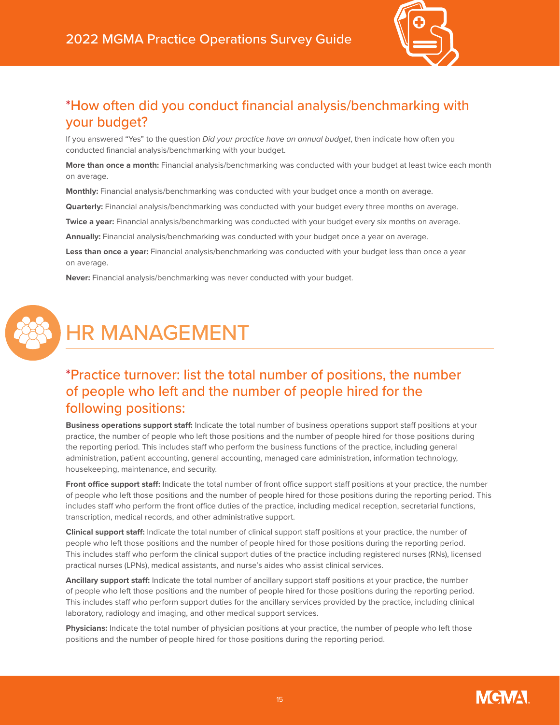

### \*How often did you conduct financial analysis/benchmarking with your budget?

If you answered "Yes" to the question *Did your practice have an annual budget*, then indicate how often you conducted financial analysis/benchmarking with your budget.

**More than once a month:** Financial analysis/benchmarking was conducted with your budget at least twice each month on average.

**Monthly:** Financial analysis/benchmarking was conducted with your budget once a month on average.

**Quarterly:** Financial analysis/benchmarking was conducted with your budget every three months on average.

**Twice a year:** Financial analysis/benchmarking was conducted with your budget every six months on average.

**Annually:** Financial analysis/benchmarking was conducted with your budget once a year on average.

**Less than once a year:** Financial analysis/benchmarking was conducted with your budget less than once a year on average.

**Never:** Financial analysis/benchmarking was never conducted with your budget.



# <span id="page-14-0"></span>HR MANAGEMENT

### \*Practice turnover: list the total number of positions, the number of people who left and the number of people hired for the following positions:

**Business operations support staff:** Indicate the total number of business operations support staff positions at your practice, the number of people who left those positions and the number of people hired for those positions during the reporting period. This includes staff who perform the business functions of the practice, including general administration, patient accounting, general accounting, managed care administration, information technology, housekeeping, maintenance, and security.

Front office support staff: Indicate the total number of front office support staff positions at your practice, the number of people who left those positions and the number of people hired for those positions during the reporting period. This includes staff who perform the front office duties of the practice, including medical reception, secretarial functions, transcription, medical records, and other administrative support.

**Clinical support staff:** Indicate the total number of clinical support staff positions at your practice, the number of people who left those positions and the number of people hired for those positions during the reporting period. This includes staff who perform the clinical support duties of the practice including registered nurses (RNs), licensed practical nurses (LPNs), medical assistants, and nurse's aides who assist clinical services.

**Ancillary support staff:** Indicate the total number of ancillary support staff positions at your practice, the number of people who left those positions and the number of people hired for those positions during the reporting period. This includes staff who perform support duties for the ancillary services provided by the practice, including clinical laboratory, radiology and imaging, and other medical support services.

**Physicians:** Indicate the total number of physician positions at your practice, the number of people who left those positions and the number of people hired for those positions during the reporting period.